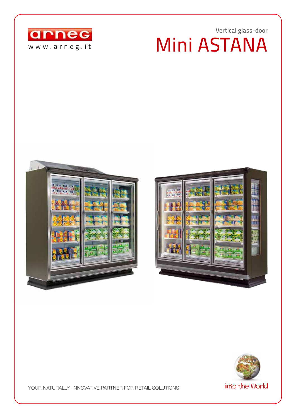## Vertical glass-door Mini ASTANA









YOUR NATURALLY INNOVATIVE PARTNER FOR RETAIL SOLUTIONS